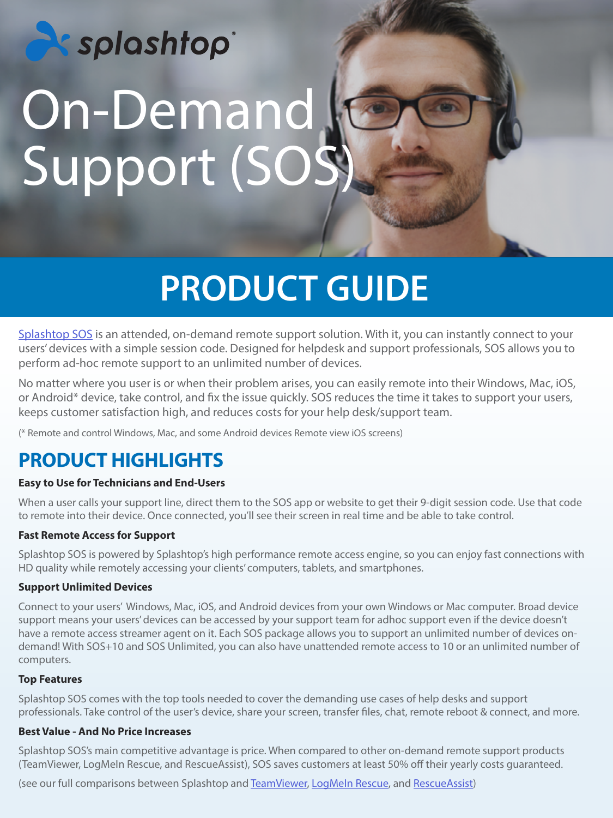# **Exisplashtop** On-Demand Support (SOS)

## **PRODUCT GUIDE**

[Splashtop SOS](https://www.splashtop.com/sos) is an attended, on-demand remote support solution. With it, you can instantly connect to your users' devices with a simple session code. Designed for helpdesk and support professionals, SOS allows you to perform ad-hoc remote support to an unlimited number of devices.

No matter where you user is or when their problem arises, you can easily remote into their Windows, Mac, iOS, or Android\* device, take control, and fix the issue quickly. SOS reduces the time it takes to support your users, keeps customer satisfaction high, and reduces costs for your help desk/support team.

(\* Remote and control Windows, Mac, and some Android devices Remote view iOS screens)

#### **PRODUCT HIGHLIGHTS**

#### **Easy to Use for Technicians and End-Users**

When a user calls your support line, direct them to the SOS app or website to get their 9-digit session code. Use that code to remote into their device. Once connected, you'll see their screen in real time and be able to take control.

#### **Fast Remote Access for Support**

Splashtop SOS is powered by Splashtop's high performance remote access engine, so you can enjoy fast connections with HD quality while remotely accessing your clients' computers, tablets, and smartphones.

#### **Support Unlimited Devices**

Connect to your users' Windows, Mac, iOS, and Android devices from your own Windows or Mac computer. Broad device support means your users' devices can be accessed by your support team for adhoc support even if the device doesn't have a remote access streamer agent on it. Each SOS package allows you to support an unlimited number of devices ondemand! With SOS+10 and SOS Unlimited, you can also have unattended remote access to 10 or an unlimited number of computers.

#### **Top Features**

Splashtop SOS comes with the top tools needed to cover the demanding use cases of help desks and support professionals. Take control of the user's device, share your screen, transfer files, chat, remote reboot & connect, and more.

#### **Best Value - And No Price Increases**

Splashtop SOS's main competitive advantage is price. When compared to other on-demand remote support products (TeamViewer, LogMeIn Rescue, and RescueAssist), SOS saves customers at least 50% off their yearly costs guaranteed.

(see our full comparisons between Splashtop and [TeamViewer,](https://www.splashtop.com/compare-teamviewer-alternative) [LogMeIn Rescue](https://www.splashtop.com/compare-logmein-rescue-alternative), and [RescueAssist](https://www.splashtop.com/compare-gotoassist-alternative))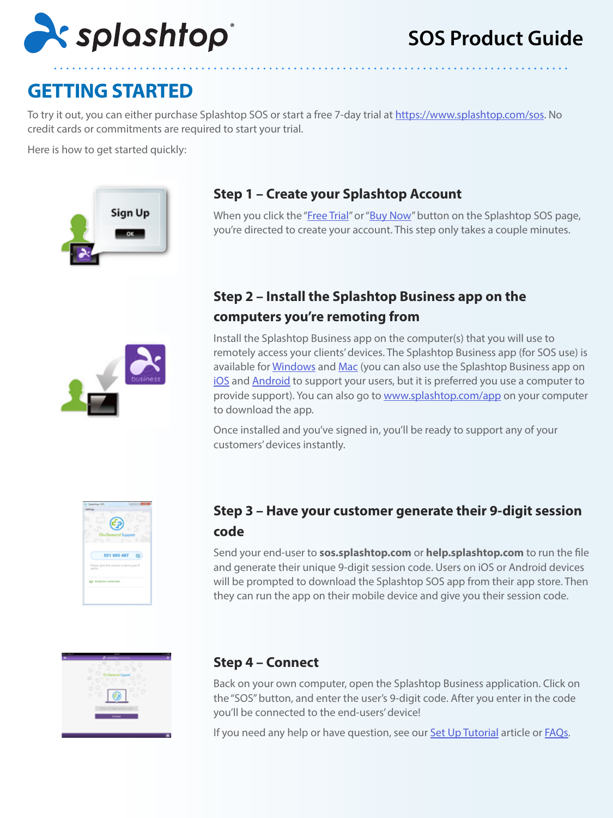

#### **GETTING STARTED**

To try it out, you can either purchase Splashtop SOS or start a free 7-day trial at <https://www.splashtop.com/sos>. No credit cards or commitments are required to start your trial.

Here is how to get started quickly:



#### **Step 1 – Create your Splashtop Account**

When you click the "[Free Trial"](https://my.splashtop.com/sos-commercial-trial/signup) or "[Buy Now"](https://my.splashtop.com/subscribe/splashtop2?user=&feature=11) button on the Splashtop SOS page, you're directed to create your account. This step only takes a couple minutes.

#### **Step 2 – Install the Splashtop Business app on the computers you're remoting from**

Install the Splashtop Business app on the computer(s) that you will use to remotely access your clients' devices. The Splashtop Business app (for SOS use) is available for [Windows](https://www.splashtop.com/downloadstart?product=stb&platform=windows-client) and [Mac](https://www.splashtop.com/downloadstart?product=stb&platform=mac-client) (you can also use the Splashtop Business app on [iOS](https://itunes.apple.com/us/app/splashtop-business/id650739354) and [Android](https://play.google.com/store/apps/details?id=com.splashtop.remote.business) to support your users, but it is preferred you use a computer to provide support). You can also go to [www.splashtop.com/app](https://www.splashtop.com/downloadstart?product=stb&platform=auto) on your computer to download the app.

Once installed and you've signed in, you'll be ready to support any of your customers' devices instantly.



#### **Step 3 – Have your customer generate their 9-digit session code**

Send your end-user to **sos.splashtop.com** or **help.splashtop.com** to run the file and generate their unique 9-digit session code. Users on iOS or Android devices will be prompted to download the Splashtop SOS app from their app store. Then they can run the app on their mobile device and give you their session code.

| ٠                                |
|----------------------------------|
| ۱<br>٠<br>×                      |
| ٥<br>٠<br>۰                      |
| w<br>o<br>a.<br>٠                |
| ×<br>o<br>o<br>٠<br>à.<br>s<br>o |
|                                  |
| fictor a Wallah senting code     |
|                                  |
|                                  |
|                                  |

#### **Step 4 – Connect**

Back on your own computer, open the Splashtop Business application. Click on the "SOS" button, and enter the user's 9-digit code. After you enter in the code you'll be connected to the end-users' device!

If you need any help or have question, see our **Set Up Tutorial** article or **FAQs**.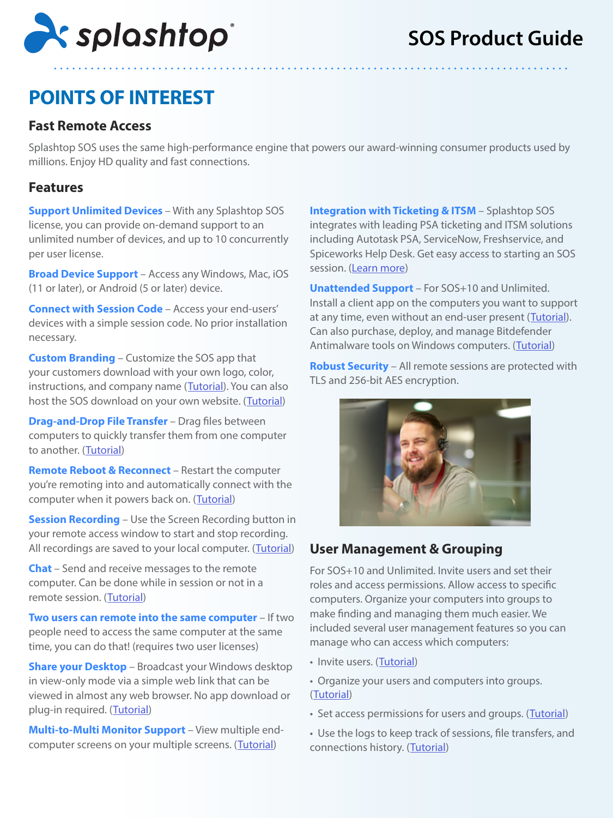

### **POINTS OF INTEREST**

#### **Fast Remote Access**

Splashtop SOS uses the same high-performance engine that powers our award-winning consumer products used by millions. Enjoy HD quality and fast connections.

#### **Features**

**Support Unlimited Devices** – With any Splashtop SOS license, you can provide on-demand support to an unlimited number of devices, and up to 10 concurrently per user license.

**Broad Device Support** – Access any Windows, Mac, iOS (11 or later), or Android (5 or later) device.

**Connect with Session Code** – Access your end-users' devices with a simple session code. No prior installation necessary.

**Custom Branding** – Customize the SOS app that your customers download with your own logo, color, instructions, and company name ([Tutorial](https://support-splashtopbusiness.splashtop.com/hc/en-us/articles/115004126203-Customize-your-SOS)). You can also host the SOS download on your own website. ([Tutorial](https://support-splashtopbusiness.splashtop.com/hc/en-us/articles/217948363-Do-you-want-to-host-the-SOS-download-on-your-website-))

**Drag-and-Drop File Transfer** – Drag files between computers to quickly transfer them from one computer to another. ([Tutorial\)](https://support-splashtopbusiness.splashtop.com/hc/en-us/articles/212725323-FILE-TRANSFER)

**Remote Reboot & Reconnect** – Restart the computer you're remoting into and automatically connect with the computer when it powers back on. ([Tutorial](https://support-splashtopbusiness.splashtop.com/hc/en-us/articles/115000983226-REMOTE-REBOOT))

**Session Recording** – Use the Screen Recording button in your remote access window to start and stop recording. All recordings are saved to your local computer. ([Tutorial](https://support-splashtopbusiness.splashtop.com/hc/en-us/articles/360021851931-SESSION-RECORDING))

**Chat** – Send and receive messages to the remote computer. Can be done while in session or not in a remote session. ([Tutorial\)](https://support-splashtopbusiness.splashtop.com/hc/en-us/articles/212725483-CHAT)

**Two users can remote into the same computer** – If two people need to access the same computer at the same time, you can do that! (requires two user licenses)

**Share your Desktop** – Broadcast your Windows desktop in view-only mode via a simple web link that can be viewed in almost any web browser. No app download or plug-in required. ([Tutorial](https://support-splashtopbusiness.splashtop.com/hc/en-us/articles/115002370303-SHARE-MY-DESKTOP))

**Multi-to-Multi Monitor Support** – View multiple end-computer screens on your multiple screens. ([Tutorial](https://support-splashtopbusiness.splashtop.com/hc/en-us/articles/360014465512-MULTI-MONITOR))

**Integration with Ticketing & ITSM** – Splashtop SOS integrates with leading PSA ticketing and ITSM solutions including Autotask PSA, ServiceNow, Freshservice, and Spiceworks Help Desk. Get easy access to starting an SOS session. [\(Learn more](https://www.splashtop.com/integrations))

**Unattended Support** – For SOS+10 and Unlimited. Install a client app on the computers you want to support at any time, even without an end-user present ([Tutorial](https://support-splashtopbusiness.splashtop.com/hc/en-us/articles/115004988263-How-to-setup-unattended-computers-for-SOS-services-)). Can also purchase, deploy, and manage Bitdefender Antimalware tools on Windows computers. ([Tutorial](https://support-splashtopbusiness.splashtop.com/hc/en-us/articles/360026148531-How-to-Set-Up-Bitdefender-Endpoint-Security-Tool-Antimalware))

**Robust Security** – All remote sessions are protected with TLS and 256-bit AES encryption.



#### **User Management & Grouping**

For SOS+10 and Unlimited. Invite users and set their roles and access permissions. Allow access to specific computers. Organize your computers into groups to make finding and managing them much easier. We included several user management features so you can manage who can access which computers:

- Invite users. ([Tutorial\)](https://support-splashtopbusiness.splashtop.com/hc/en-us/articles/360000081366-How-to-add-invite-users-to-be-a-part-of-my-Splashtop-service-)
- Organize your users and computers into groups. ([Tutorial\)](https://support-splashtopbusiness.splashtop.com/hc/en-us/search/click?data=BAh7CjoHaWRpBHPurQw6CXR5cGVJIgxhcnRpY2xlBjoGRVQ6CHVybEkiAZRodHRwczovL3N1cHBvcnQtc3BsYXNodG9wYnVzaW5lc3Muc3BsYXNodG9wLmNvbS9oYy9lbi11cy9hcnRpY2xlcy8yMTI3MjUzNjMtSG93LWRvLUktZ3JvdXAtbXktdXNlcnMtYW5kLWNvbXB1dGVycy1TcGxhc2h0b3AtUmVtb3RlLVN1cHBvcnQtU09TLW9ubHktBjsHVDoOc2VhcmNoX2lkSSIpOWZjZTQxZjUtOGQwZC00MTg4LTk1YWMtMWUzNGFlNjY4MGI1BjsHRjoJcmFua2kH--e5382f8016a5c86315ca20b7360fc71916f8d7a0)
- Set access permissions for users and groups. ([Tutorial](https://support-splashtopbusiness.splashtop.com/hc/en-us/search/click?data=BAh7CjoHaWRsKwhfq57GGgA6CXR5cGVJIgxhcnRpY2xlBjoGRVQ6CHVybEkiAY5odHRwczovL3N1cHBvcnQtc3BsYXNodG9wYnVzaW5lc3Muc3BsYXNodG9wLmNvbS9oYy9lbi11cy9hcnRpY2xlcy8xMTUwMDE0MzcwMjMtSG93LXRvLXNldC1jb21wdXRlci1hY2Nlc3MtcGVybWlzc2lvbnMtUmVtb3RlLVN1cHBvcnQtU09TLW9ubHktBjsHVDoOc2VhcmNoX2lkSSIpOTdmOTUzMTgtMmE2My00YzI3LTlmZmMtNGFkZDMyYWVjM2Y4BjsHRjoJcmFua2kH--98981cb1f10e11b0010230b17a1296db45acd403))
- Use the logs to keep track of sessions, file transfers, and connections history. ([Tutorial](https://support-splashtopbusiness.splashtop.com/hc/en-us/articles/360001692992-LOGS))